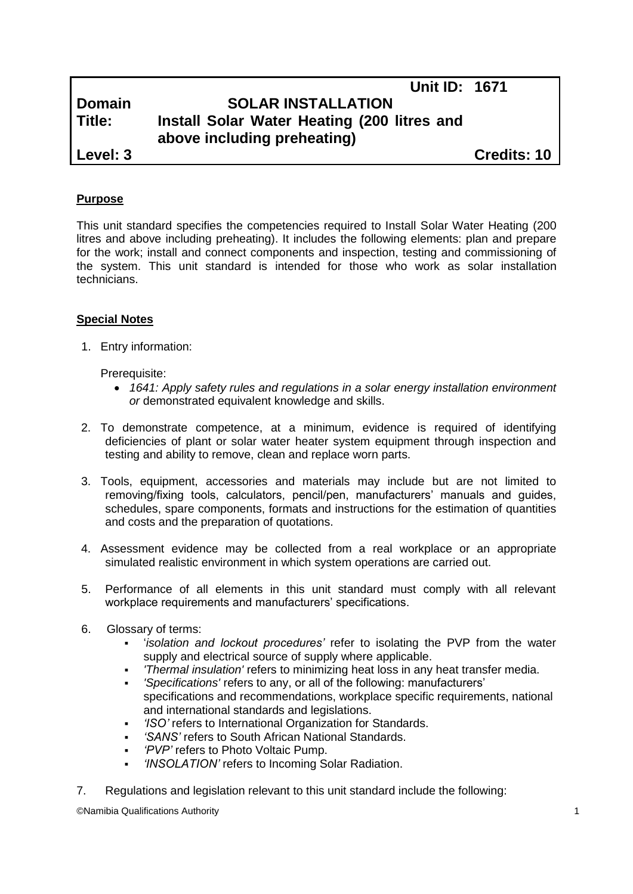# **Unit ID: 1671 Domain SOLAR INSTALLATION Title: Install Solar Water Heating (200 litres and above including preheating) Level: 3 Credits: 10**

# **Purpose**

This unit standard specifies the competencies required to Install Solar Water Heating (200 litres and above including preheating). It includes the following elements: plan and prepare for the work; install and connect components and inspection, testing and commissioning of the system. This unit standard is intended for those who work as solar installation technicians.

## **Special Notes**

1. Entry information:

Prerequisite:

- *1641: Apply safety rules and regulations in a solar energy installation environment or* demonstrated equivalent knowledge and skills.
- 2. To demonstrate competence, at a minimum, evidence is required of identifying deficiencies of plant or solar water heater system equipment through inspection and testing and ability to remove, clean and replace worn parts.
- 3. Tools, equipment, accessories and materials may include but are not limited to removing/fixing tools, calculators, pencil/pen, manufacturers' manuals and guides, schedules, spare components, formats and instructions for the estimation of quantities and costs and the preparation of quotations.
- 4. Assessment evidence may be collected from a real workplace or an appropriate simulated realistic environment in which system operations are carried out.
- 5. Performance of all elements in this unit standard must comply with all relevant workplace requirements and manufacturers' specifications.
- 6. Glossary of terms:
	- '*isolation and lockout procedures'* refer to isolating the PVP from the water supply and electrical source of supply where applicable.
	- *'Thermal insulation'* refers to minimizing heat loss in any heat transfer media.
	- *'Specifications'* refers to any, or all of the following: manufacturers' specifications and recommendations, workplace specific requirements, national and international standards and legislations.
	- *'ISO'* refers to International Organization for Standards.
	- *'SANS'* refers to South African National Standards.
	- *'PVP'* refers to Photo Voltaic Pump.
	- *'INSOLATION'* refers to Incoming Solar Radiation.
- 7. Regulations and legislation relevant to this unit standard include the following:

©Namibia Qualifications Authority 1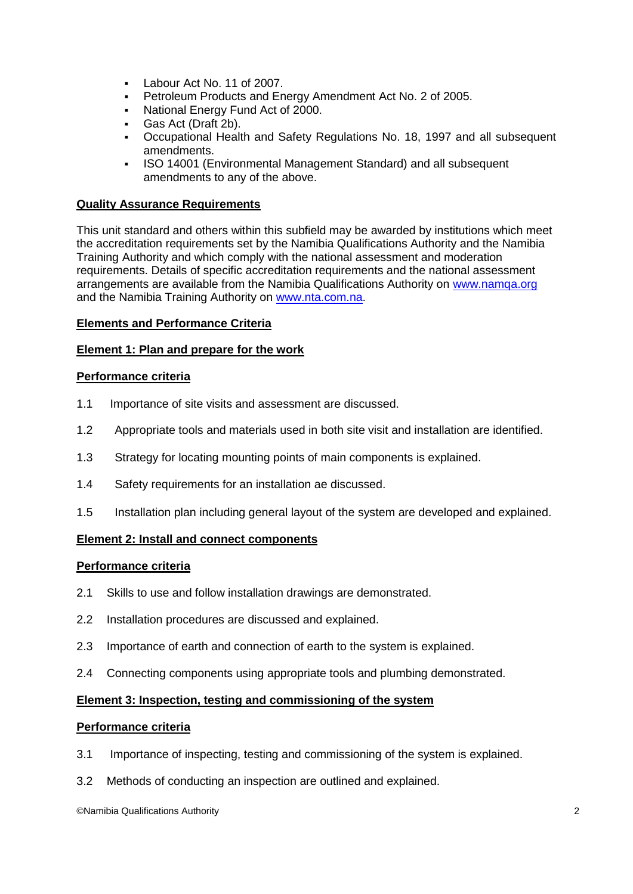- Labour Act No. 11 of 2007.
- Petroleum Products and Energy Amendment Act No. 2 of 2005.
- National Energy Fund Act of 2000.
- Gas Act (Draft 2b).
- Occupational Health and Safety Regulations No. 18, 1997 and all subsequent amendments.
- ISO 14001 (Environmental Management Standard) and all subsequent amendments to any of the above.

### **Quality Assurance Requirements**

This unit standard and others within this subfield may be awarded by institutions which meet the accreditation requirements set by the Namibia Qualifications Authority and the Namibia Training Authority and which comply with the national assessment and moderation requirements. Details of specific accreditation requirements and the national assessment arrangements are available from the Namibia Qualifications Authority on [www.namqa.org](http://www.namqa.org/) and the Namibia Training Authority on [www.nta.com.na.](http://www.nta.com.na/)

#### **Elements and Performance Criteria**

#### **Element 1: Plan and prepare for the work**

#### **Performance criteria**

- 1.1 Importance of site visits and assessment are discussed.
- 1.2 Appropriate tools and materials used in both site visit and installation are identified.
- 1.3 Strategy for locating mounting points of main components is explained.
- 1.4 Safety requirements for an installation ae discussed.
- 1.5 Installation plan including general layout of the system are developed and explained.

#### **Element 2: Install and connect components**

#### **Performance criteria**

- 2.1 Skills to use and follow installation drawings are demonstrated.
- 2.2 Installation procedures are discussed and explained.
- 2.3 Importance of earth and connection of earth to the system is explained.
- 2.4 Connecting components using appropriate tools and plumbing demonstrated.

#### **Element 3: Inspection, testing and commissioning of the system**

#### **Performance criteria**

- 3.1 Importance of inspecting, testing and commissioning of the system is explained.
- 3.2 Methods of conducting an inspection are outlined and explained.

©Namibia Qualifications Authority 2